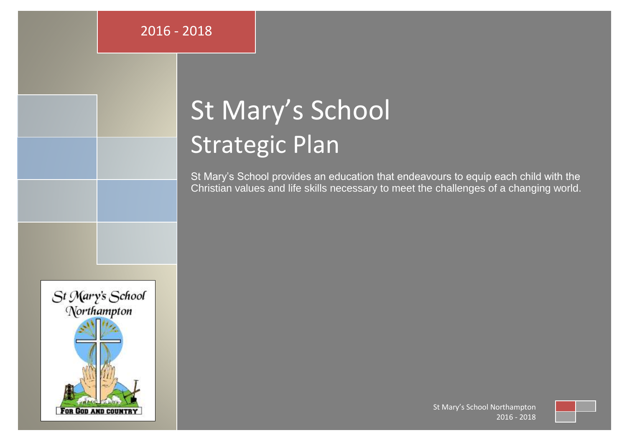# St Mary's School Strategic Plan

St Mary's School provides an education that endeavours to equip each child with the Christian values and life skills necessary to meet the challenges of a changing world.



St Mary's School Northampton 2016 - 2018

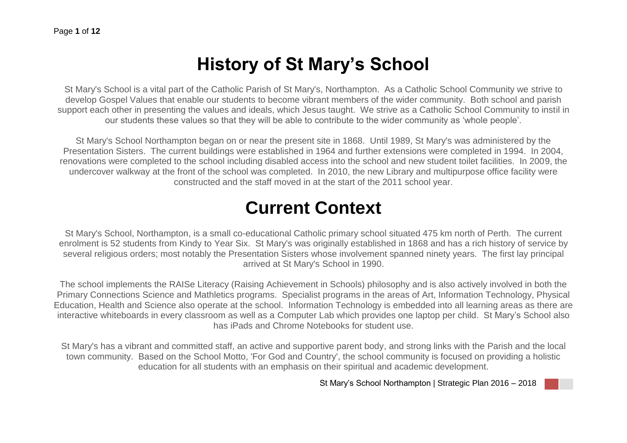## **History of St Mary's School**

St Mary's School is a vital part of the Catholic Parish of St Mary's, Northampton. As a Catholic School Community we strive to develop Gospel Values that enable our students to become vibrant members of the wider community. Both school and parish support each other in presenting the values and ideals, which Jesus taught. We strive as a Catholic School Community to instil in our students these values so that they will be able to contribute to the wider community as 'whole people'.

St Mary's School Northampton began on or near the present site in 1868. Until 1989, St Mary's was administered by the Presentation Sisters. The current buildings were established in 1964 and further extensions were completed in 1994. In 2004, renovations were completed to the school including disabled access into the school and new student toilet facilities. In 2009, the undercover walkway at the front of the school was completed. In 2010, the new Library and multipurpose office facility were constructed and the staff moved in at the start of the 2011 school year.

### **Current Context**

St Mary's School, Northampton, is a small co-educational Catholic primary school situated 475 km north of Perth. The current enrolment is 52 students from Kindy to Year Six. St Mary's was originally established in 1868 and has a rich history of service by several religious orders; most notably the Presentation Sisters whose involvement spanned ninety years. The first lay principal arrived at St Mary's School in 1990.

The school implements the RAISe Literacy (Raising Achievement in Schools) philosophy and is also actively involved in both the Primary Connections Science and Mathletics programs. Specialist programs in the areas of Art, Information Technology, Physical Education, Health and Science also operate at the school. Information Technology is embedded into all learning areas as there are interactive whiteboards in every classroom as well as a Computer Lab which provides one laptop per child. St Mary's School also has iPads and Chrome Notebooks for student use.

St Mary's has a vibrant and committed staff, an active and supportive parent body, and strong links with the Parish and the local town community. Based on the School Motto, 'For God and Country', the school community is focused on providing a holistic education for all students with an emphasis on their spiritual and academic development.

St Mary's School Northampton | Strategic Plan 2016 – 2018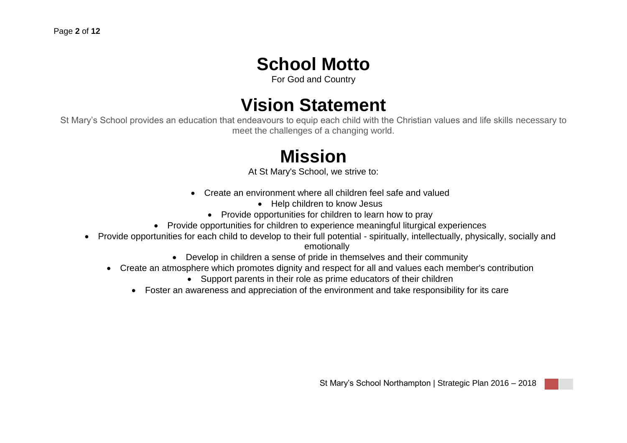### **School Motto**

For God and Country

## **Vision Statement**

St Mary's School provides an education that endeavours to equip each child with the Christian values and life skills necessary to meet the challenges of a changing world.

# **Mission**

At St Mary's School, we strive to:

- Create an environment where all children feel safe and valued
	- Help children to know Jesus
	- Provide opportunities for children to learn how to pray
- Provide opportunities for children to experience meaningful liturgical experiences
- Provide opportunities for each child to develop to their full potential spiritually, intellectually, physically, socially and emotionally
	- Develop in children a sense of pride in themselves and their community
	- Create an atmosphere which promotes dignity and respect for all and values each member's contribution
		- Support parents in their role as prime educators of their children
		- Foster an awareness and appreciation of the environment and take responsibility for its care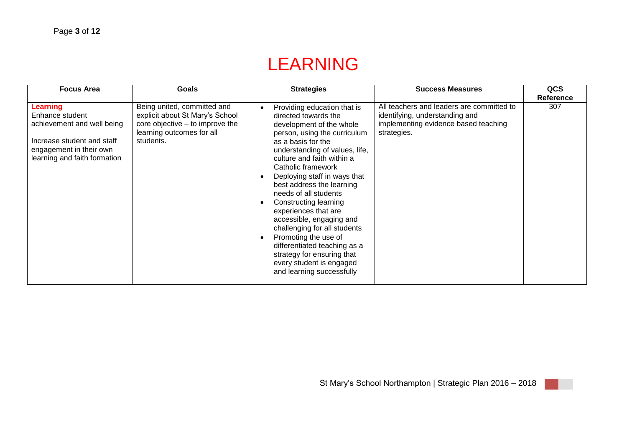# LEARNING

| <b>Focus Area</b>                                                                                                                                  | Goals                                                                                                                                       | <b>Strategies</b>                                                                                                                                                                                                                                                                                                                                                                                                                                                                                                                                                                                       | <b>Success Measures</b>                                                                                                            | QCS              |
|----------------------------------------------------------------------------------------------------------------------------------------------------|---------------------------------------------------------------------------------------------------------------------------------------------|---------------------------------------------------------------------------------------------------------------------------------------------------------------------------------------------------------------------------------------------------------------------------------------------------------------------------------------------------------------------------------------------------------------------------------------------------------------------------------------------------------------------------------------------------------------------------------------------------------|------------------------------------------------------------------------------------------------------------------------------------|------------------|
|                                                                                                                                                    |                                                                                                                                             |                                                                                                                                                                                                                                                                                                                                                                                                                                                                                                                                                                                                         |                                                                                                                                    | <b>Reference</b> |
| Learning<br>Enhance student<br>achievement and well being<br>Increase student and staff<br>engagement in their own<br>learning and faith formation | Being united, committed and<br>explicit about St Mary's School<br>core objective – to improve the<br>learning outcomes for all<br>students. | Providing education that is<br>$\bullet$<br>directed towards the<br>development of the whole<br>person, using the curriculum<br>as a basis for the<br>understanding of values, life,<br>culture and faith within a<br>Catholic framework<br>Deploying staff in ways that<br>best address the learning<br>needs of all students<br>Constructing learning<br>$\bullet$<br>experiences that are<br>accessible, engaging and<br>challenging for all students<br>Promoting the use of<br>differentiated teaching as a<br>strategy for ensuring that<br>every student is engaged<br>and learning successfully | All teachers and leaders are committed to<br>identifying, understanding and<br>implementing evidence based teaching<br>strategies. | 307              |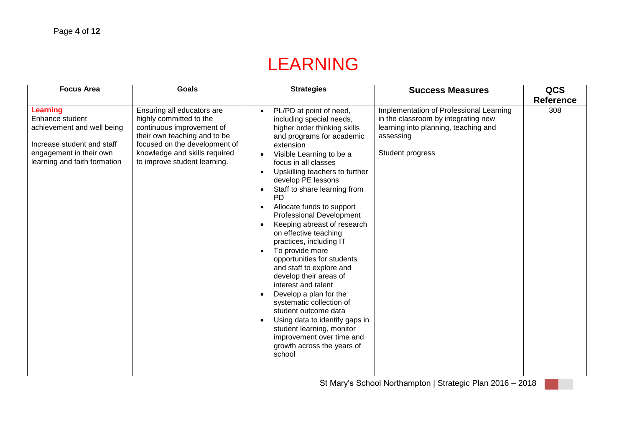# LEARNING

| <b>Focus Area</b>                                                                                                                                  | <b>Goals</b>                                                                                                                                                                                                         | <b>Strategies</b>                                                                                                                                                                                                                                                                                                                                                                                                                                                                                                                                                                                                                                                                                                                                                                                                                                                                    | <b>Success Measures</b>                                                                                                                                 | QCS<br><b>Reference</b> |
|----------------------------------------------------------------------------------------------------------------------------------------------------|----------------------------------------------------------------------------------------------------------------------------------------------------------------------------------------------------------------------|--------------------------------------------------------------------------------------------------------------------------------------------------------------------------------------------------------------------------------------------------------------------------------------------------------------------------------------------------------------------------------------------------------------------------------------------------------------------------------------------------------------------------------------------------------------------------------------------------------------------------------------------------------------------------------------------------------------------------------------------------------------------------------------------------------------------------------------------------------------------------------------|---------------------------------------------------------------------------------------------------------------------------------------------------------|-------------------------|
| Learning<br>Enhance student<br>achievement and well being<br>Increase student and staff<br>engagement in their own<br>learning and faith formation | Ensuring all educators are<br>highly committed to the<br>continuous improvement of<br>their own teaching and to be<br>focused on the development of<br>knowledge and skills required<br>to improve student learning. | PL/PD at point of need,<br>$\bullet$<br>including special needs,<br>higher order thinking skills<br>and programs for academic<br>extension<br>Visible Learning to be a<br>focus in all classes<br>Upskilling teachers to further<br>$\bullet$<br>develop PE lessons<br>Staff to share learning from<br>$\bullet$<br><b>PD</b><br>Allocate funds to support<br>$\bullet$<br><b>Professional Development</b><br>Keeping abreast of research<br>on effective teaching<br>practices, including IT<br>To provide more<br>$\bullet$<br>opportunities for students<br>and staff to explore and<br>develop their areas of<br>interest and talent<br>Develop a plan for the<br>$\bullet$<br>systematic collection of<br>student outcome data<br>Using data to identify gaps in<br>$\bullet$<br>student learning, monitor<br>improvement over time and<br>growth across the years of<br>school | Implementation of Professional Learning<br>in the classroom by integrating new<br>learning into planning, teaching and<br>assessing<br>Student progress | 308                     |

St Mary's School Northampton | Strategic Plan 2016 – 2018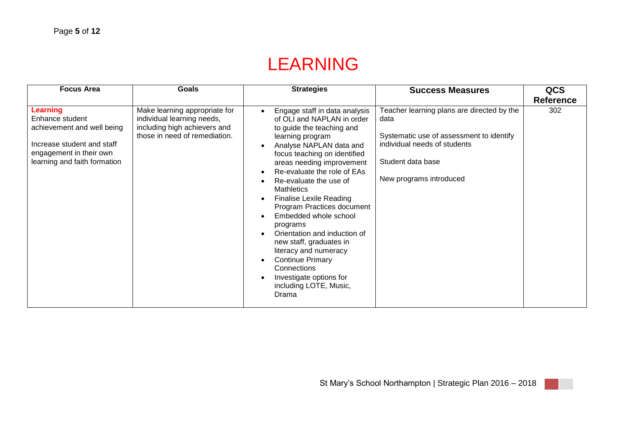# LEARNING

| <b>Focus Area</b>                                                                                                                                         | Goals                                                                                                                        | <b>Strategies</b>                                                                                                                                                                                                                                                                                                                                                                                                                                                                                                                                                                                                                                                              | <b>Success Measures</b>                                                                                                                                                        | <b>QCS</b>       |
|-----------------------------------------------------------------------------------------------------------------------------------------------------------|------------------------------------------------------------------------------------------------------------------------------|--------------------------------------------------------------------------------------------------------------------------------------------------------------------------------------------------------------------------------------------------------------------------------------------------------------------------------------------------------------------------------------------------------------------------------------------------------------------------------------------------------------------------------------------------------------------------------------------------------------------------------------------------------------------------------|--------------------------------------------------------------------------------------------------------------------------------------------------------------------------------|------------------|
|                                                                                                                                                           |                                                                                                                              |                                                                                                                                                                                                                                                                                                                                                                                                                                                                                                                                                                                                                                                                                |                                                                                                                                                                                | <b>Reference</b> |
| <b>Learning</b><br>Enhance student<br>achievement and well being<br>Increase student and staff<br>engagement in their own<br>learning and faith formation | Make learning appropriate for<br>individual learning needs,<br>including high achievers and<br>those in need of remediation. | Engage staff in data analysis<br>of OLI and NAPLAN in order<br>to guide the teaching and<br>learning program<br>Analyse NAPLAN data and<br>$\bullet$<br>focus teaching on identified<br>areas needing improvement<br>Re-evaluate the role of EAs<br>$\bullet$<br>Re-evaluate the use of<br>$\bullet$<br><b>Mathletics</b><br><b>Finalise Lexile Reading</b><br>$\bullet$<br>Program Practices document<br>Embedded whole school<br>$\bullet$<br>programs<br>Orientation and induction of<br>$\bullet$<br>new staff, graduates in<br>literacy and numeracy<br><b>Continue Primary</b><br>$\bullet$<br>Connections<br>Investigate options for<br>including LOTE, Music,<br>Drama | Teacher learning plans are directed by the<br>data<br>Systematic use of assessment to identify<br>individual needs of students<br>Student data base<br>New programs introduced | 302              |

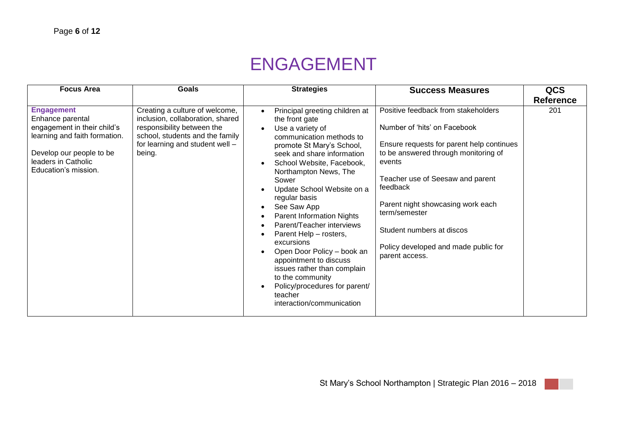# ENGAGEMENT

| <b>Focus Area</b>                                                                                                                                                                | <b>Goals</b>                                                                                                                                                                     | <b>Strategies</b>                                                                                                                                                                                                                                                                                                                                                                                                                                                                                                                                                                                                                                                                                                | <b>Success Measures</b>                                                                                                                                                                                                                                                                                                                                         | <b>QCS</b>       |
|----------------------------------------------------------------------------------------------------------------------------------------------------------------------------------|----------------------------------------------------------------------------------------------------------------------------------------------------------------------------------|------------------------------------------------------------------------------------------------------------------------------------------------------------------------------------------------------------------------------------------------------------------------------------------------------------------------------------------------------------------------------------------------------------------------------------------------------------------------------------------------------------------------------------------------------------------------------------------------------------------------------------------------------------------------------------------------------------------|-----------------------------------------------------------------------------------------------------------------------------------------------------------------------------------------------------------------------------------------------------------------------------------------------------------------------------------------------------------------|------------------|
|                                                                                                                                                                                  |                                                                                                                                                                                  |                                                                                                                                                                                                                                                                                                                                                                                                                                                                                                                                                                                                                                                                                                                  |                                                                                                                                                                                                                                                                                                                                                                 | <b>Reference</b> |
| <b>Engagement</b><br>Enhance parental<br>engagement in their child's<br>learning and faith formation.<br>Develop our people to be<br>leaders in Catholic<br>Education's mission. | Creating a culture of welcome,<br>inclusion, collaboration, shared<br>responsibility between the<br>school, students and the family<br>for learning and student well -<br>being. | Principal greeting children at<br>$\bullet$<br>the front gate<br>Use a variety of<br>$\bullet$<br>communication methods to<br>promote St Mary's School,<br>seek and share information<br>School Website, Facebook,<br>$\bullet$<br>Northampton News, The<br>Sower<br>Update School Website on a<br>$\bullet$<br>regular basis<br>See Saw App<br>$\bullet$<br>Parent Information Nights<br>$\bullet$<br>Parent/Teacher interviews<br>$\bullet$<br>Parent Help - rosters,<br>$\bullet$<br>excursions<br>Open Door Policy - book an<br>$\bullet$<br>appointment to discuss<br>issues rather than complain<br>to the community<br>Policy/procedures for parent/<br>$\bullet$<br>teacher<br>interaction/communication | Positive feedback from stakeholders<br>Number of 'hits' on Facebook<br>Ensure requests for parent help continues<br>to be answered through monitoring of<br>events<br>Teacher use of Seesaw and parent<br>feedback<br>Parent night showcasing work each<br>term/semester<br>Student numbers at discos<br>Policy developed and made public for<br>parent access. | 201              |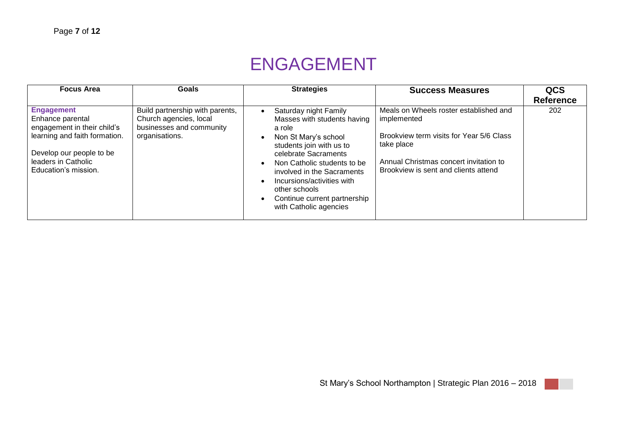# ENGAGEMENT

| <b>Focus Area</b>                                                                                                                                                                | <b>Goals</b>                                                                                            | <b>Strategies</b>                                                                                                                                                                                                                                                                                                                                                    | <b>Success Measures</b>                                                                                                                                                                           | <b>QCS</b><br><b>Reference</b> |
|----------------------------------------------------------------------------------------------------------------------------------------------------------------------------------|---------------------------------------------------------------------------------------------------------|----------------------------------------------------------------------------------------------------------------------------------------------------------------------------------------------------------------------------------------------------------------------------------------------------------------------------------------------------------------------|---------------------------------------------------------------------------------------------------------------------------------------------------------------------------------------------------|--------------------------------|
| <b>Engagement</b><br>Enhance parental<br>engagement in their child's<br>learning and faith formation.<br>Develop our people to be<br>leaders in Catholic<br>Education's mission. | Build partnership with parents,<br>Church agencies, local<br>businesses and community<br>organisations. | Saturday night Family<br>Masses with students having<br>a role<br>Non St Mary's school<br>$\bullet$<br>students join with us to<br>celebrate Sacraments<br>Non Catholic students to be<br>$\bullet$<br>involved in the Sacraments<br>Incursions/activities with<br>$\bullet$<br>other schools<br>Continue current partnership<br>$\bullet$<br>with Catholic agencies | Meals on Wheels roster established and<br>implemented<br>Brookview term visits for Year 5/6 Class<br>take place<br>Annual Christmas concert invitation to<br>Brookview is sent and clients attend | 202                            |

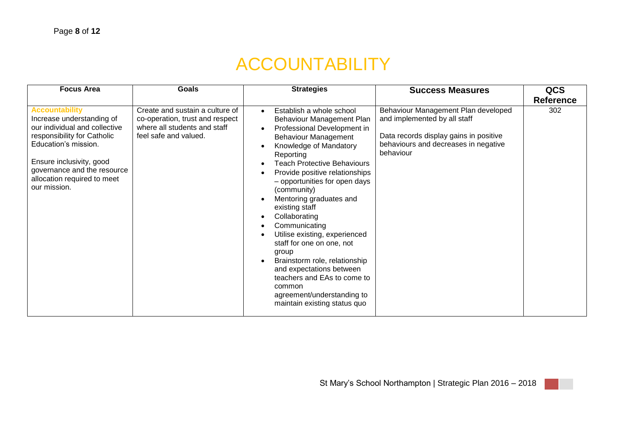# ACCOUNTABILITY

| <b>Focus Area</b>                                                                                                                                                                                                                                    | <b>Goals</b>                                                                                                                | <b>Strategies</b>                                                                                                                                                                                                                                                                                                                                                                                                                                                                                                                                                                                                                                                                                                                              | <b>Success Measures</b>                                                                                                                                            | <b>QCS</b><br><b>Reference</b> |
|------------------------------------------------------------------------------------------------------------------------------------------------------------------------------------------------------------------------------------------------------|-----------------------------------------------------------------------------------------------------------------------------|------------------------------------------------------------------------------------------------------------------------------------------------------------------------------------------------------------------------------------------------------------------------------------------------------------------------------------------------------------------------------------------------------------------------------------------------------------------------------------------------------------------------------------------------------------------------------------------------------------------------------------------------------------------------------------------------------------------------------------------------|--------------------------------------------------------------------------------------------------------------------------------------------------------------------|--------------------------------|
| <b>Accountability</b><br>Increase understanding of<br>our individual and collective<br>responsibility for Catholic<br>Education's mission.<br>Ensure inclusivity, good<br>governance and the resource<br>allocation required to meet<br>our mission. | Create and sustain a culture of<br>co-operation, trust and respect<br>where all students and staff<br>feel safe and valued. | Establish a whole school<br>$\bullet$<br>Behaviour Management Plan<br>Professional Development in<br>$\bullet$<br><b>Behaviour Management</b><br>Knowledge of Mandatory<br>$\bullet$<br>Reporting<br><b>Teach Protective Behaviours</b><br>$\bullet$<br>Provide positive relationships<br>$\bullet$<br>- opportunities for open days<br>(community)<br>Mentoring graduates and<br>$\bullet$<br>existing staff<br>Collaborating<br>$\bullet$<br>Communicating<br>$\bullet$<br>Utilise existing, experienced<br>$\bullet$<br>staff for one on one, not<br>group<br>Brainstorm role, relationship<br>$\bullet$<br>and expectations between<br>teachers and EAs to come to<br>common<br>agreement/understanding to<br>maintain existing status quo | Behaviour Management Plan developed<br>and implemented by all staff<br>Data records display gains in positive<br>behaviours and decreases in negative<br>behaviour | 302                            |

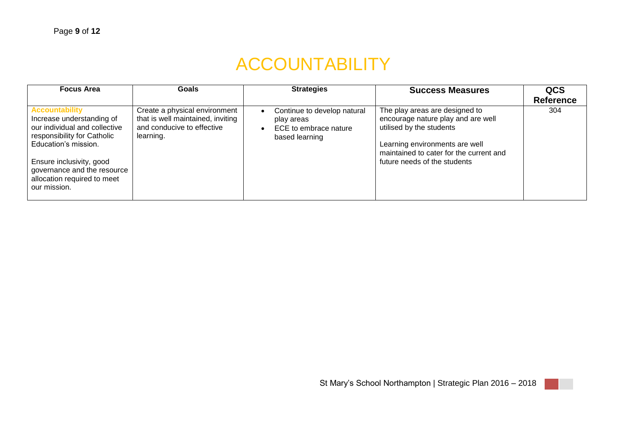# ACCOUNTABILITY

| <b>Focus Area</b>                                                                                                                                                                                                                                    | Goals                                                                                                         | <b>Strategies</b>                                                                                 | <b>Success Measures</b>                                                                                                                                                                                       | QCS<br><b>Reference</b> |
|------------------------------------------------------------------------------------------------------------------------------------------------------------------------------------------------------------------------------------------------------|---------------------------------------------------------------------------------------------------------------|---------------------------------------------------------------------------------------------------|---------------------------------------------------------------------------------------------------------------------------------------------------------------------------------------------------------------|-------------------------|
| <b>Accountability</b><br>Increase understanding of<br>our individual and collective<br>responsibility for Catholic<br>Education's mission.<br>Ensure inclusivity, good<br>governance and the resource<br>allocation required to meet<br>our mission. | Create a physical environment<br>that is well maintained, inviting<br>and conducive to effective<br>learning. | Continue to develop natural<br>play areas<br>ECE to embrace nature<br>$\bullet$<br>based learning | The play areas are designed to<br>encourage nature play and are well<br>utilised by the students<br>Learning environments are well<br>maintained to cater for the current and<br>future needs of the students | 304                     |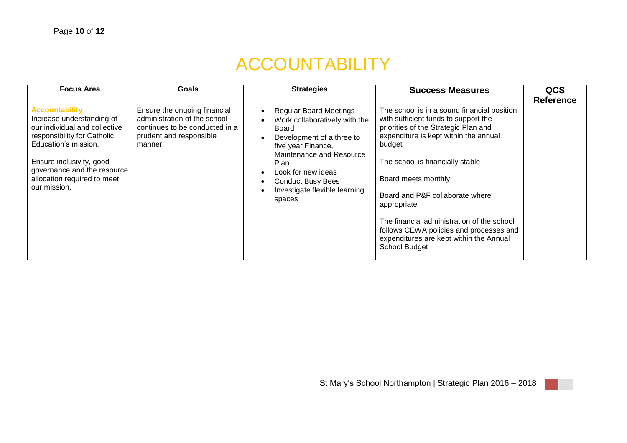# ACCOUNTABILITY

| <b>Focus Area</b>                                                                                                                                                                                                                                    | <b>Goals</b>                                                                                                                         | <b>Strategies</b>                                                                                                                                                                                                                                                                                               | <b>Success Measures</b>                                                                                                                                                                                                                                                                                                                                                                                                                                 | QCS              |
|------------------------------------------------------------------------------------------------------------------------------------------------------------------------------------------------------------------------------------------------------|--------------------------------------------------------------------------------------------------------------------------------------|-----------------------------------------------------------------------------------------------------------------------------------------------------------------------------------------------------------------------------------------------------------------------------------------------------------------|---------------------------------------------------------------------------------------------------------------------------------------------------------------------------------------------------------------------------------------------------------------------------------------------------------------------------------------------------------------------------------------------------------------------------------------------------------|------------------|
|                                                                                                                                                                                                                                                      |                                                                                                                                      |                                                                                                                                                                                                                                                                                                                 |                                                                                                                                                                                                                                                                                                                                                                                                                                                         | <b>Reference</b> |
| <b>Accountability</b><br>Increase understanding of<br>our individual and collective<br>responsibility for Catholic<br>Education's mission.<br>Ensure inclusivity, good<br>governance and the resource<br>allocation required to meet<br>our mission. | Ensure the ongoing financial<br>administration of the school<br>continues to be conducted in a<br>prudent and responsible<br>manner. | <b>Regular Board Meetings</b><br>$\bullet$<br>Work collaboratively with the<br>Board<br>Development of a three to<br>$\bullet$<br>five year Finance,<br>Maintenance and Resource<br>Plan<br>Look for new ideas<br>$\bullet$<br><b>Conduct Busy Bees</b><br>$\bullet$<br>Investigate flexible learning<br>spaces | The school is in a sound financial position<br>with sufficient funds to support the<br>priorities of the Strategic Plan and<br>expenditure is kept within the annual<br>budget<br>The school is financially stable<br>Board meets monthly<br>Board and P&F collaborate where<br>appropriate<br>The financial administration of the school<br>follows CEWA policies and processes and<br>expenditures are kept within the Annual<br><b>School Budget</b> |                  |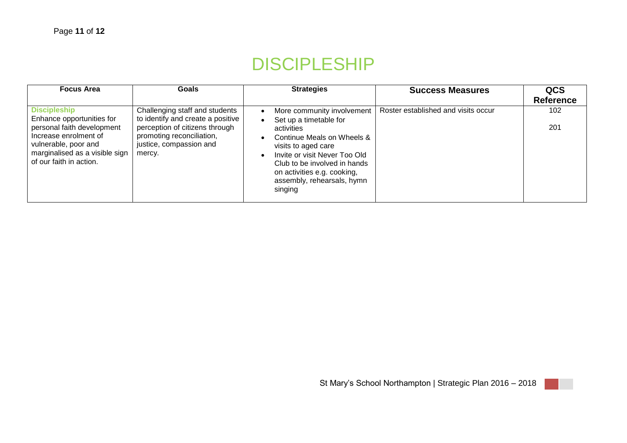### DISCIPLESHIP

| <b>Focus Area</b>                                                                                                                                                                            | Goals                                                                                                                                                                   | <b>Strategies</b>                                                                                                                                                                                                                                                                                                    | <b>Success Measures</b>             | QCS<br><b>Reference</b> |
|----------------------------------------------------------------------------------------------------------------------------------------------------------------------------------------------|-------------------------------------------------------------------------------------------------------------------------------------------------------------------------|----------------------------------------------------------------------------------------------------------------------------------------------------------------------------------------------------------------------------------------------------------------------------------------------------------------------|-------------------------------------|-------------------------|
| <b>Discipleship</b><br>Enhance opportunities for<br>personal faith development<br>Increase enrolment of<br>vulnerable, poor and<br>marginalised as a visible sign<br>of our faith in action. | Challenging staff and students<br>to identify and create a positive<br>perception of citizens through<br>promoting reconciliation,<br>justice, compassion and<br>mercy. | More community involvement<br>$\bullet$<br>Set up a timetable for<br>$\bullet$<br>activities<br>Continue Meals on Wheels &<br>$\bullet$<br>visits to aged care<br>Invite or visit Never Too Old<br>$\bullet$<br>Club to be involved in hands<br>on activities e.g. cooking,<br>assembly, rehearsals, hymn<br>singing | Roster established and visits occur | 102<br>201              |